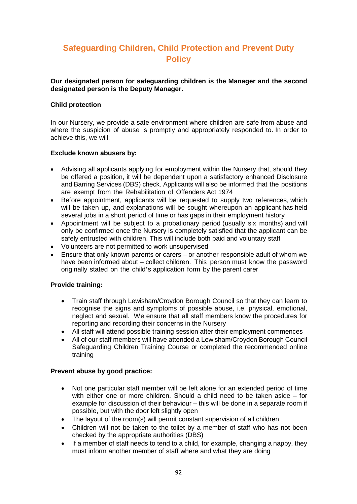# **Safeguarding Children, Child Protection and Prevent Duty Policy**

**Our designated person for safeguarding children is the Manager and the second designated person is the Deputy Manager.**

#### **Child protection**

In our Nursery, we provide a safe environment where children are safe from abuse and where the suspicion of abuse is promptly and appropriately responded to. In order to achieve this, we will:

#### **Exclude known abusers by:**

- Advising all applicants applying for employment within the Nursery that, should they be offered a position, it will be dependent upon a satisfactory enhanced Disclosure and Barring Services (DBS) check. Applicants will also be informed that the positions are exempt from the Rehabilitation of Offenders Act 1974
- Before appointment, applicants will be requested to supply two references, which will be taken up, and explanations will be sought whereupon an applicant has held several jobs in a short period of time or has gaps in their employment history
- Appointment will be subject to a probationary period (usually six months) and will only be confirmed once the Nursery is completely satisfied that the applicant can be safely entrusted with children. This will include both paid and voluntary staff
- Volunteers are not permitted to work unsupervised
- Ensure that only known parents or carers or another responsible adult of whom we have been informed about – collect children. This person must know the password originally stated on the child's application form by the parent carer

## **Provide training:**

- Train staff through Lewisham/Croydon Borough Council so that they can learn to recognise the signs and symptoms of possible abuse, i.e. physical, emotional, neglect and sexual. We ensure that all staff members know the procedures for reporting and recording their concerns in the Nursery
- All staff will attend possible training session after their employment commences
- All of our staff members will have attended a Lewisham/Croydon Borough Council Safeguarding Children Training Course or completed the recommended online training

#### **Prevent abuse by good practice:**

- Not one particular staff member will be left alone for an extended period of time with either one or more children. Should a child need to be taken aside – for example for discussion of their behaviour – this will be done in a separate room if possible, but with the door left slightly open
- The layout of the room(s) will permit constant supervision of all children
- Children will not be taken to the toilet by a member of staff who has not been checked by the appropriate authorities (DBS)
- If a member of staff needs to tend to a child, for example, changing a nappy, they must inform another member of staff where and what they are doing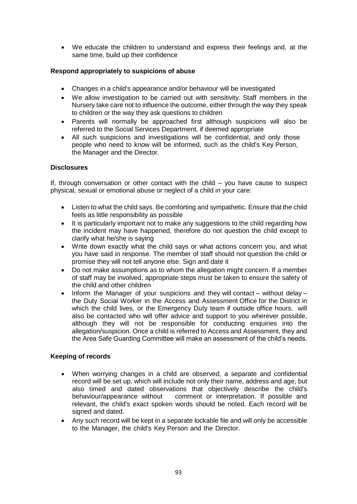We educate the children to understand and express their feelings and, at the same time, build up their confidence

# **Respond appropriately to suspicions of abuse**

- Changes in a child's appearance and/or behaviour will be investigated
- We allow investigation to be carried out with sensitivity. Staff members in the Nursery take care not to influence the outcome, either through the way they speak to children or the way they ask questions to children
- Parents will normally be approached first although suspicions will also be referred to the Social Services Department, if deemed appropriate
- All such suspicions and investigations will be confidential, and only those people who need to know will be informed, such as the child's Key Person, the Manager and the Director.

# **Disclosures**

If, through conversation or other contact with the child – you have cause to suspect physical, sexual or emotional abuse or neglect of a child in your care:

- Listen to what the child says. Be comforting and sympathetic. Ensure that the child feels as little responsibility as possible
- It is particularly important not to make any suggestions to the child regarding how the incident may have happened, therefore do not question the child except to clarify what he/she is saying
- Write down exactly what the child says or what actions concern you, and what you have said in response. The member of staff should not question the child or promise they will not tell anyone else. Sign and date it
- Do not make assumptions as to whom the allegation might concern. If a member of staff may be involved, appropriate steps must be taken to ensure the safety of the child and other children
- Inform the Manager of your suspicions and they will contact without delay the Duty Social Worker in the Access and Assessment Office for the District in which the child lives, or the Emergency Duty team if outside office hours. will also be contacted who will offer advice and support to you wherever possible, although they will not be responsible for conducting enquiries into the allegation/suspicion. Once a child is referred to Access and Assessment, they and the Area Safe Guarding Committee will make an assessment of the child's needs.

## **Keeping of records**

- When worrying changes in a child are observed, a separate and confidential record will be set up, which will include not only their name, address and age, but also timed and dated observations that objectively describe the child's behaviour/appearance without comment or interpretation. If possible and relevant, the child's exact spoken words should be noted. Each record will be signed and dated.
- Any such record will be kept in a separate lockable file and will only be accessible to the Manager, the child's Key Person and the Director.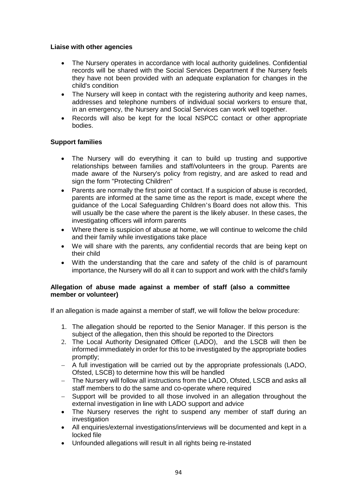#### **Liaise with other agencies**

- The Nursery operates in accordance with local authority guidelines. Confidential records will be shared with the Social Services Department if the Nursery feels they have not been provided with an adequate explanation for changes in the child's condition
- The Nursery will keep in contact with the registering authority and keep names, addresses and telephone numbers of individual social workers to ensure that, in an emergency, the Nursery and Social Services can work well together.
- Records will also be kept for the local NSPCC contact or other appropriate bodies.

## **Support families**

- The Nursery will do everything it can to build up trusting and supportive relationships between families and staff/volunteers in the group. Parents are made aware of the Nursery's policy from registry, and are asked to read and sign the form "Protecting Children"
- Parents are normally the first point of contact. If a suspicion of abuse is recorded, parents are informed at the same time as the report is made, except where the guidance of the Local Safeguarding Children's Board does not allow this. This will usually be the case where the parent is the likely abuser. In these cases, the investigating officers will inform parents
- Where there is suspicion of abuse at home, we will continue to welcome the child and their family while investigations take place
- We will share with the parents, any confidential records that are being kept on their child
- With the understanding that the care and safety of the child is of paramount importance, the Nursery will do all it can to support and work with the child's family

## **Allegation of abuse made against a member of staff (also a committee member or volunteer)**

If an allegation is made against a member of staff, we will follow the below procedure:

- 1. The allegation should be reported to the Senior Manager. If this person is the subject of the allegation, then this should be reported to the Directors
- 2. The Local Authority Designated Officer (LADO), and the LSCB will then be informed immediately in order for this to be investigated by the appropriate bodies promptly;
- A full investigation will be carried out by the appropriate professionals (LADO, Ofsted, LSCB) to determine how this will be handled
- The Nursery will follow all instructions from the LADO, Ofsted, LSCB and asks all staff members to do the same and co-operate where required
- Support will be provided to all those involved in an allegation throughout the external investigation in line with LADO support and advice
- The Nursery reserves the right to suspend any member of staff during an investigation
- All enquiries/external investigations/interviews will be documented and kept in a locked file
- Unfounded allegations will result in all rights being re-instated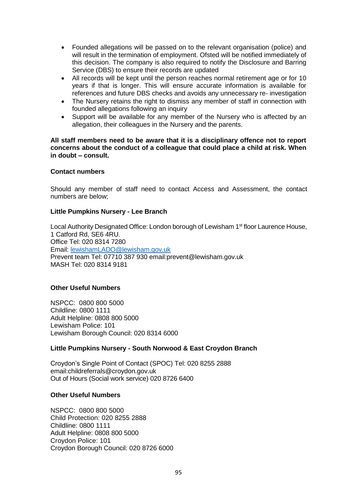- Founded allegations will be passed on to the relevant organisation (police) and will result in the termination of employment. Ofsted will be notified immediately of this decision. The company is also required to notify the Disclosure and Barring Service (DBS) to ensure their records are updated
- All records will be kept until the person reaches normal retirement age or for 10 years if that is longer. This will ensure accurate information is available for references and future DBS checks and avoids any unnecessary re- investigation
- The Nursery retains the right to dismiss any member of staff in connection with founded allegations following an inquiry
- Support will be available for any member of the Nursery who is affected by an allegation, their colleagues in the Nursery and the parents.

**All staff members need to be aware that it is a disciplinary offence not to report concerns about the conduct of a colleague that could place a child at risk. When in doubt – consult.** 

#### **Contact numbers**

Should any member of staff need to contact Access and Assessment, the contact numbers are below;

## **Little Pumpkins Nursery - Lee Branch**

Local Authority Designated Office: London borough of Lewisham 1<sup>st</sup> floor Laurence House, 1 Catford Rd, SE6 4RU. Office Tel: 020 8314 7280 Email: [lewishamLADO@lewisham.gov.uk](mailto:lewishamLADO@lewisham.gov.uk) Prevent team Tel: 07710 387 930 email:prevent@lewisham.gov.uk MASH Tel: 020 8314 9181

## **Other Useful Numbers**

NSPCC: 0800 800 5000 Childline: 0800 1111 Adult Helpline: 0808 800 5000 Lewisham Police: 101 Lewisham Borough Council: 020 8314 6000

## **Little Pumpkins Nursery - South Norwood & East Croydon Branch**

Croydon's Single Point of Contact (SPOC) Tel: 020 8255 2888 email:childreferrals@croydon.gov.uk Out of Hours (Social work service) 020 8726 6400

## **Other Useful Numbers**

NSPCC: 0800 800 5000 Child Protection: 020 8255 2888 Childline: 0800 1111 Adult Helpline: 0808 800 5000 Croydon Police: 101 Croydon Borough Council: 020 8726 6000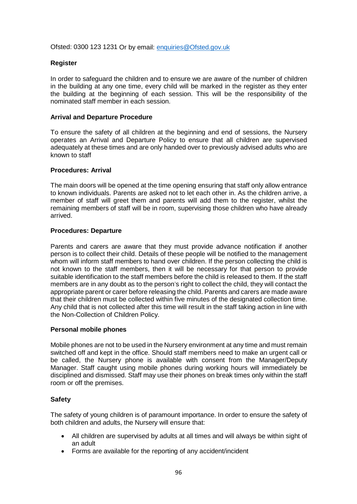Ofsted: 0300 123 1231 Or by email: [enquiries@Ofsted.gov.uk](mailto:enquiries@Ofsted.gov.uk)

## **Register**

In order to safeguard the children and to ensure we are aware of the number of children in the building at any one time, every child will be marked in the register as they enter the building at the beginning of each session. This will be the responsibility of the nominated staff member in each session.

#### **Arrival and Departure Procedure**

To ensure the safety of all children at the beginning and end of sessions, the Nursery operates an Arrival and Departure Policy to ensure that all children are supervised adequately at these times and are only handed over to previously advised adults who are known to staff

#### **Procedures: Arrival**

The main doors will be opened at the time opening ensuring that staff only allow entrance to known individuals. Parents are asked not to let each other in. As the children arrive, a member of staff will greet them and parents will add them to the register, whilst the remaining members of staff will be in room, supervising those children who have already arrived.

#### **Procedures: Departure**

Parents and carers are aware that they must provide advance notification if another person is to collect their child. Details of these people will be notified to the management whom will inform staff members to hand over children. If the person collecting the child is not known to the staff members, then it will be necessary for that person to provide suitable identification to the staff members before the child is released to them. If the staff members are in any doubt as to the person's right to collect the child, they will contact the appropriate parent or carer before releasing the child. Parents and carers are made aware that their children must be collected within five minutes of the designated collection time. Any child that is not collected after this time will result in the staff taking action in line with the Non-Collection of Children Policy.

#### **Personal mobile phones**

Mobile phones are not to be used in the Nursery environment at any time and must remain switched off and kept in the office. Should staff members need to make an urgent call or be called, the Nursery phone is available with consent from the Manager/Deputy Manager. Staff caught using mobile phones during working hours will immediately be disciplined and dismissed. Staff may use their phones on break times only within the staff room or off the premises.

## **Safety**

The safety of young children is of paramount importance. In order to ensure the safety of both children and adults, the Nursery will ensure that:

- All children are supervised by adults at all times and will always be within sight of an adult
- Forms are available for the reporting of any accident/incident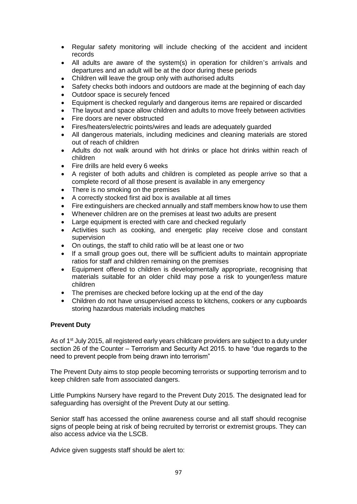- Regular safety monitoring will include checking of the accident and incident records
- All adults are aware of the system(s) in operation for children's arrivals and departures and an adult will be at the door during these periods
- Children will leave the group only with authorised adults
- Safety checks both indoors and outdoors are made at the beginning of each day
- Outdoor space is securely fenced
- Equipment is checked regularly and dangerous items are repaired or discarded
- The layout and space allow children and adults to move freely between activities
- Fire doors are never obstructed
- Fires/heaters/electric points/wires and leads are adequately guarded
- All dangerous materials, including medicines and cleaning materials are stored out of reach of children
- Adults do not walk around with hot drinks or place hot drinks within reach of children
- Fire drills are held every 6 weeks
- A register of both adults and children is completed as people arrive so that a complete record of all those present is available in any emergency
- There is no smoking on the premises
- A correctly stocked first aid box is available at all times
- Fire extinguishers are checked annually and staff members know how to use them
- Whenever children are on the premises at least two adults are present
- Large equipment is erected with care and checked regularly
- Activities such as cooking, and energetic play receive close and constant supervision
- On outings, the staff to child ratio will be at least one or two
- If a small group goes out, there will be sufficient adults to maintain appropriate ratios for staff and children remaining on the premises
- Equipment offered to children is developmentally appropriate, recognising that materials suitable for an older child may pose a risk to younger/less mature children
- The premises are checked before locking up at the end of the day
- Children do not have unsupervised access to kitchens, cookers or any cupboards storing hazardous materials including matches

## **Prevent Duty**

As of 1<sup>st</sup> July 2015, all registered early years childcare providers are subject to a duty under section 26 of the Counter – Terrorism and Security Act 2015. to have "due regards to the need to prevent people from being drawn into terrorism"

The Prevent Duty aims to stop people becoming terrorists or supporting terrorism and to keep children safe from associated dangers.

Little Pumpkins Nursery have regard to the Prevent Duty 2015. The designated lead for safeguarding has oversight of the Prevent Duty at our setting.

Senior staff has accessed the online awareness course and all staff should recognise signs of people being at risk of being recruited by terrorist or extremist groups. They can also access advice via the LSCB.

Advice given suggests staff should be alert to: